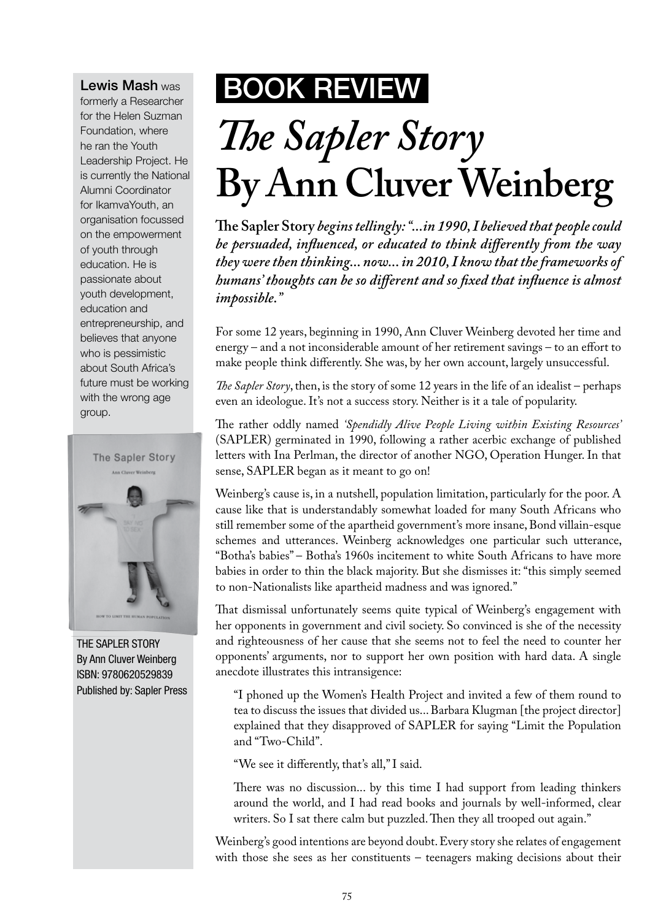Lewis Mash was

formerly a Researcher for the Helen Suzman Foundation, where he ran the Youth Leadership Project. He is currently the National Alumni Coordinator for IkamvaYouth, an organisation focussed on the empowerment of youth through education. He is passionate about youth development, education and entrepreneurship, and believes that anyone who is pessimistic about South Africa's future must be working with the wrong age group.



The Sapler Story By Ann Cluver Weinberg ISBN: 9780620529839 Published by: Sapler Press

## BOOK Review

## *The Sapler Story* **By Ann Cluver Weinberg**

**The Sapler Story** *begins tellingly: "...in 1990, I believed that people could be persuaded, influenced, or educated to think differently from the way they were then thinking... now... in 2010, I know that the frameworks of humans' thoughts can be so different and so fixed that influence is almost impossible."*

For some 12 years, beginning in 1990, Ann Cluver Weinberg devoted her time and energy – and a not inconsiderable amount of her retirement savings – to an effort to make people think differently. She was, by her own account, largely unsuccessful.

*The Sapler Story*, then, is the story of some 12 years in the life of an idealist – perhaps even an ideologue. It's not a success story. Neither is it a tale of popularity.

The rather oddly named *'Spendidly Alive People Living within Existing Resources'*  (SAPLER) germinated in 1990, following a rather acerbic exchange of published letters with Ina Perlman, the director of another NGO, Operation Hunger. In that sense, SAPLER began as it meant to go on!

Weinberg's cause is, in a nutshell, population limitation, particularly for the poor. A cause like that is understandably somewhat loaded for many South Africans who still remember some of the apartheid government's more insane, Bond villain-esque schemes and utterances. Weinberg acknowledges one particular such utterance, "Botha's babies" – Botha's 1960s incitement to white South Africans to have more babies in order to thin the black majority. But she dismisses it: "this simply seemed to non-Nationalists like apartheid madness and was ignored."

That dismissal unfortunately seems quite typical of Weinberg's engagement with her opponents in government and civil society. So convinced is she of the necessity and righteousness of her cause that she seems not to feel the need to counter her opponents' arguments, nor to support her own position with hard data. A single anecdote illustrates this intransigence:

"I phoned up the Women's Health Project and invited a few of them round to tea to discuss the issues that divided us... Barbara Klugman [the project director] explained that they disapproved of SAPLER for saying "Limit the Population and "Two-Child".

"We see it differently, that's all," I said.

There was no discussion... by this time I had support from leading thinkers around the world, and I had read books and journals by well-informed, clear writers. So I sat there calm but puzzled. Then they all trooped out again."

Weinberg's good intentions are beyond doubt. Every story she relates of engagement with those she sees as her constituents – teenagers making decisions about their